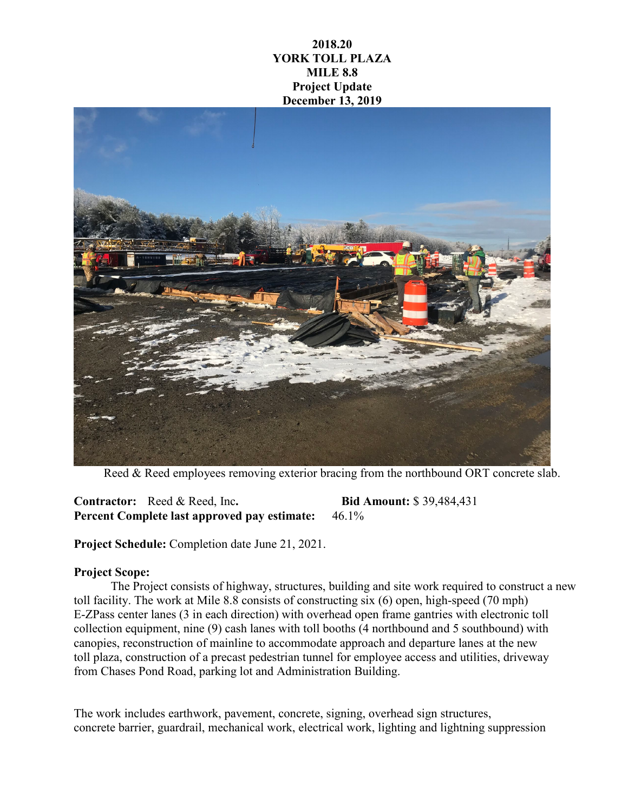## **2018.20 YORK TOLL PLAZA MILE 8.8 Project Update December 13, 2019**



Reed & Reed employees removing exterior bracing from the northbound ORT concrete slab.

**Contractor:** Reed & Reed, Inc**. Bid Amount:** \$ 39,484,431 **Percent Complete last approved pay estimate:** 46.1%

**Project Schedule:** Completion date June 21, 2021.

## **Project Scope:**

The Project consists of highway, structures, building and site work required to construct a new toll facility. The work at Mile 8.8 consists of constructing six (6) open, high-speed (70 mph) E-ZPass center lanes (3 in each direction) with overhead open frame gantries with electronic toll collection equipment, nine (9) cash lanes with toll booths (4 northbound and 5 southbound) with canopies, reconstruction of mainline to accommodate approach and departure lanes at the new toll plaza, construction of a precast pedestrian tunnel for employee access and utilities, driveway from Chases Pond Road, parking lot and Administration Building.

The work includes earthwork, pavement, concrete, signing, overhead sign structures, concrete barrier, guardrail, mechanical work, electrical work, lighting and lightning suppression